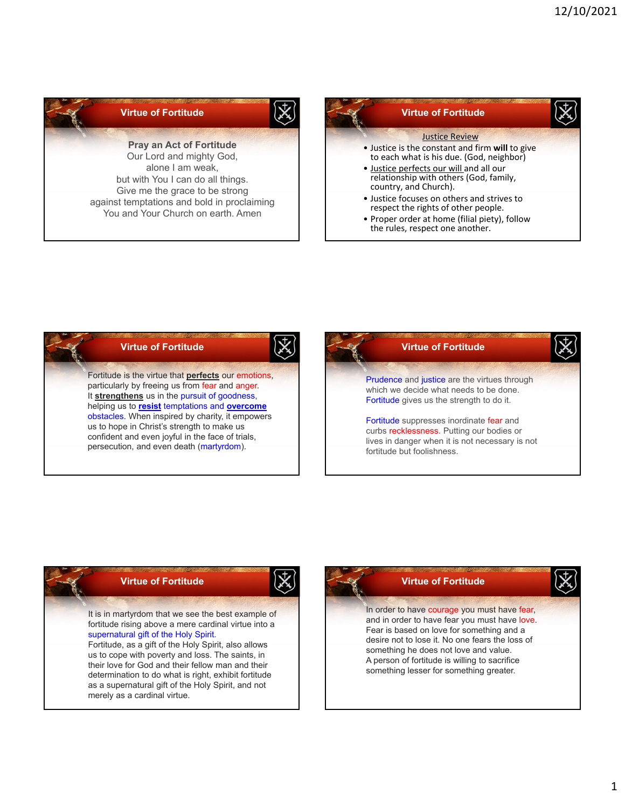





1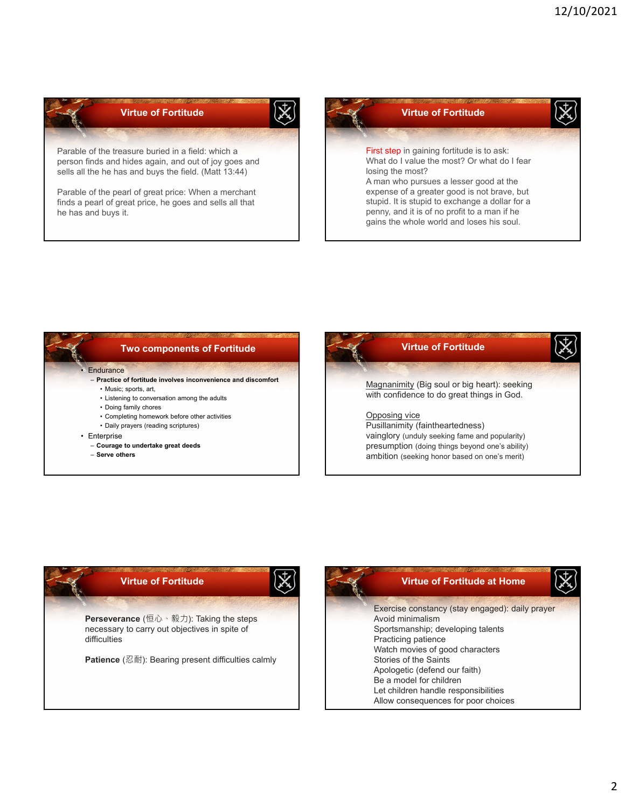

## **Two components of Fortitude**

## **F**ndurance

- **Practice of fortitude involves inconvenience and discomfort**
- Music; sports, art, • Listening to conversation among the adults
- Doing family chores
- Completing homework before other activities
- Daily prayers (reading scriptures)
- Enterprise
	- **Courage to undertake great deeds**
	- **Serve others**

## **Virtue of Fortitude** Magnanimity (Big soul or big heart): seeking with confidence to do great things in God. Opposing vice Pusillanimity (faintheartedness) vainglory (unduly seeking fame and popularity) presumption (doing things beyond one's ability) ambition (seeking honor based on one's merit)